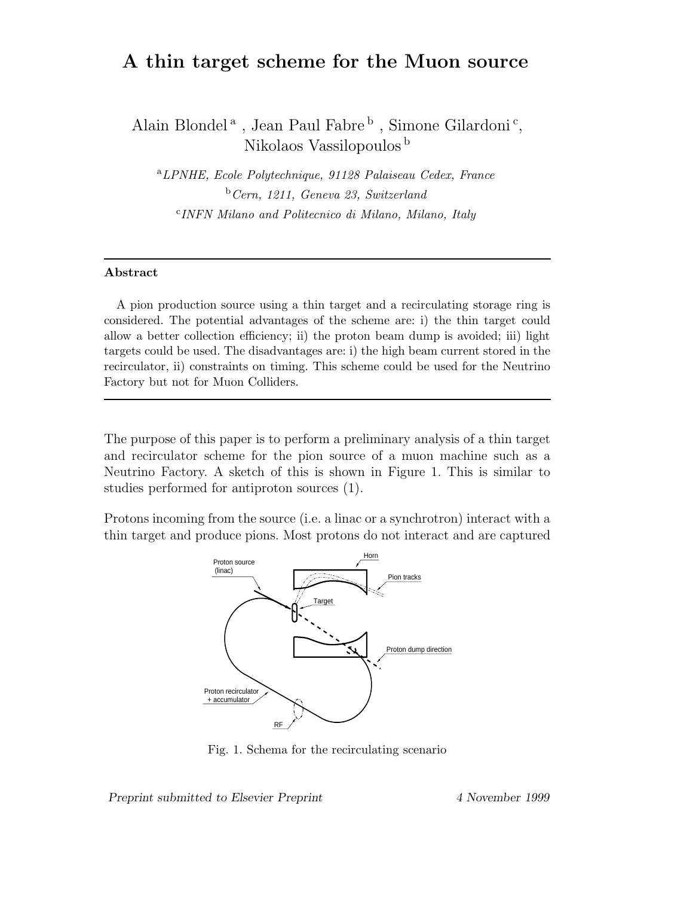# **A thin target scheme for the Muon source**

Alain Blondel<sup>a</sup>, Jean Paul Fabre<sup>b</sup>, Simone Gilardoni<sup>c</sup>, Nikolaos Vassilopoulos <sup>b</sup>

a*LPNHE, Ecole Polytechnique, 91128 Palaiseau Cedex, France* b*Cern, 1211, Geneva 23, Switzerland* c*INFN Milano and Politecnico di Milano, Milano, Italy*

#### **Abstract**

A pion production source using a thin target and a recirculating storage ring is considered. The potential advantages of the scheme are: i) the thin target could allow a better collection efficiency; ii) the proton beam dump is avoided; iii) light targets could be used. The disadvantages are: i) the high beam current stored in the recirculator, ii) constraints on timing. This scheme could be used for the Neutrino Factory but not for Muon Colliders.

The purpose of this paper is to perform a preliminary analysis of a thin target and recirculator scheme for the pion source of a muon machine such as a Neutrino Factory. A sketch of this is shown in Figure 1. This is similar to studies performed for antiproton sources (1).

Protons incoming from the source (i.e. a linac or a synchrotron) interact with a thin target and produce pions. Most protons do not interact and are captured



Fig. 1. Schema for the recirculating scenario

*Preprint submitted to Elsevier Preprint 4 November 1999*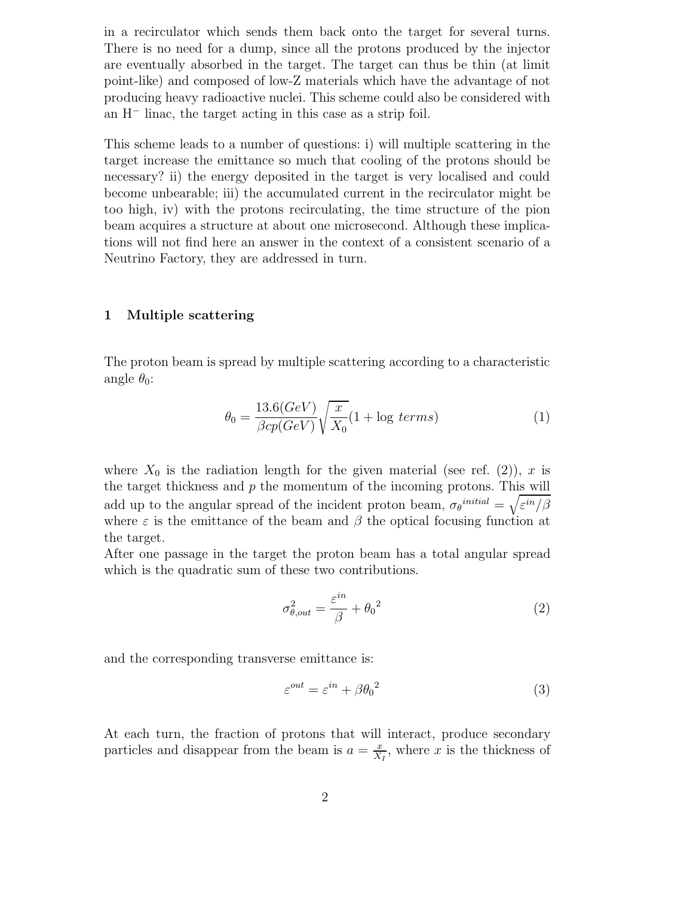in a recirculator which sends them back onto the target for several turns. There is no need for a dump, since all the protons produced by the injector are eventually absorbed in the target. The target can thus be thin (at limit point-like) and composed of low-Z materials which have the advantage of not producing heavy radioactive nuclei. This scheme could also be considered with an H<sup>−</sup> linac, the target acting in this case as a strip foil.

This scheme leads to a number of questions: i) will multiple scattering in the target increase the emittance so much that cooling of the protons should be necessary? ii) the energy deposited in the target is very localised and could become unbearable; iii) the accumulated current in the recirculator might be too high, iv) with the protons recirculating, the time structure of the pion beam acquires a structure at about one microsecond. Although these implications will not find here an answer in the context of a consistent scenario of a Neutrino Factory, they are addressed in turn.

## **1 Multiple scattering**

The proton beam is spread by multiple scattering according to a characteristic angle  $\theta_0$ :

$$
\theta_0 = \frac{13.6(GeV)}{\beta cp(GeV)} \sqrt{\frac{x}{X_0}} (1 + \log \text{ terms}) \tag{1}
$$

where  $X_0$  is the radiation length for the given material (see ref. (2)), x is the target thickness and  $p$  the momentum of the incoming protons. This will add up to the angular spread of the incident proton beam,  $\sigma_{\theta}^{initial} = \sqrt{\varepsilon^{in}/\beta}$ where  $\varepsilon$  is the emittance of the beam and  $\beta$  the optical focusing function at the target.

After one passage in the target the proton beam has a total angular spread which is the quadratic sum of these two contributions.

$$
\sigma_{\theta,out}^2 = \frac{\varepsilon^{in}}{\beta} + {\theta_0}^2 \tag{2}
$$

and the corresponding transverse emittance is:

$$
\varepsilon^{out} = \varepsilon^{in} + \beta \theta_0^2 \tag{3}
$$

At each turn, the fraction of protons that will interact, produce secondary particles and disappear from the beam is  $a = \frac{x}{X_I}$ , where x is the thickness of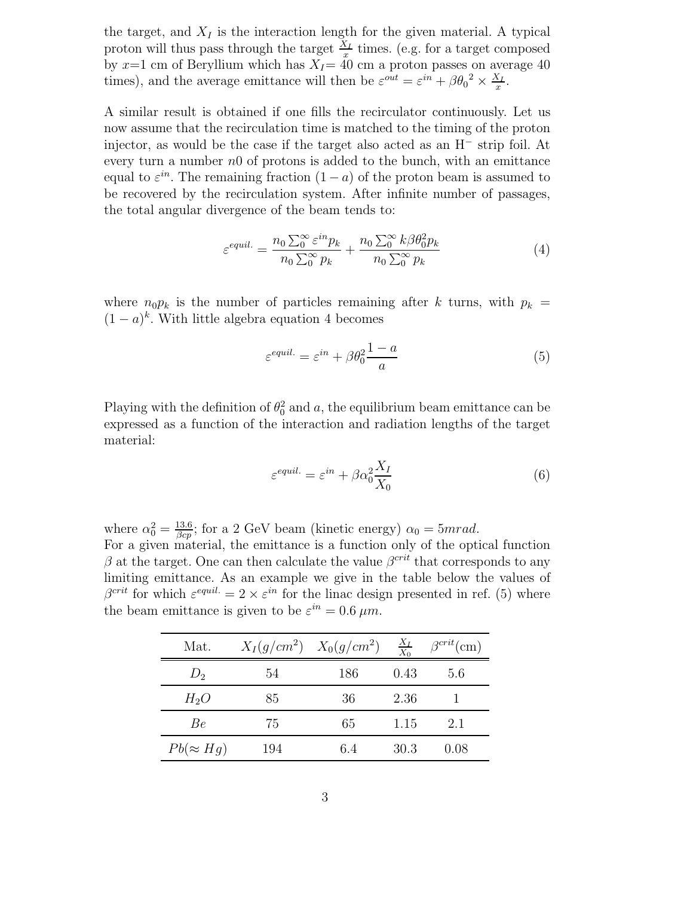the target, and  $X_I$  is the interaction length for the given material. A typical proton will thus pass through the target  $\frac{X_I}{x}$  times. (e.g. for a target composed by  $x=1$  cm of Beryllium which has  $X_I=40$  cm a proton passes on average 40 times), and the average emittance will then be  $\varepsilon^{out} = \varepsilon^{in} + \beta \theta_0^2 \times \frac{X_I}{x}$ .

A similar result is obtained if one fills the recirculator continuously. Let us now assume that the recirculation time is matched to the timing of the proton injector, as would be the case if the target also acted as an H<sup>−</sup> strip foil. At every turn a number  $n0$  of protons is added to the bunch, with an emittance equal to  $\varepsilon^{in}$ . The remaining fraction  $(1 - a)$  of the proton beam is assumed to be recovered by the recirculation system. After infinite number of passages, the total angular divergence of the beam tends to:

$$
\varepsilon^{equil.} = \frac{n_0 \sum_{0}^{\infty} \varepsilon^{in} p_k}{n_0 \sum_{0}^{\infty} p_k} + \frac{n_0 \sum_{0}^{\infty} k \beta \theta_0^2 p_k}{n_0 \sum_{0}^{\infty} p_k}
$$
(4)

where  $n_0p_k$  is the number of particles remaining after k turns, with  $p_k =$  $(1 - a)^k$ . With little algebra equation 4 becomes

$$
\varepsilon^{equil.} = \varepsilon^{in} + \beta \theta_0^2 \frac{1 - a}{a} \tag{5}
$$

Playing with the definition of  $\theta_0^2$  and a, the equilibrium beam emittance can be expressed as a function of the interaction and radiation lengths of the target material:

$$
\varepsilon^{equil.} = \varepsilon^{in} + \beta \alpha_0^2 \frac{X_I}{X_0} \tag{6}
$$

where  $\alpha_0^2 = \frac{13.6}{\beta c_p}$ ; for a 2 GeV beam (kinetic energy)  $\alpha_0 = 5 mrad$ . For a given material, the emittance is a function only of the optical function β at the target. One can then calculate the value  $β^{crit}$  that corresponds to any limiting emittance. As an example we give in the table below the values of  $\beta^{crit}$  for which  $\varepsilon^{equil.} = 2 \times \varepsilon^{in}$  for the linac design presented in ref. (5) where the beam emittance is given to be  $\varepsilon^{in} = 0.6 \ \mu m$ .

| Mat.             |     | $X_{I}(g/cm^{2})$ $X_{0}(g/cm^{2})$ | $\frac{X_I}{X_0}$ | $\beta^{crit}$ (cm) |
|------------------|-----|-------------------------------------|-------------------|---------------------|
| $D_2$            | 54  | 186                                 | 0.43              | 5.6                 |
| $H_2O$           | 85  | 36                                  | 2.36              |                     |
| Be               | 75  | 65                                  | 1.15              | 2.1                 |
| $Pb(\approx Hg)$ | 194 | 6.4                                 | 30.3              | 0.08                |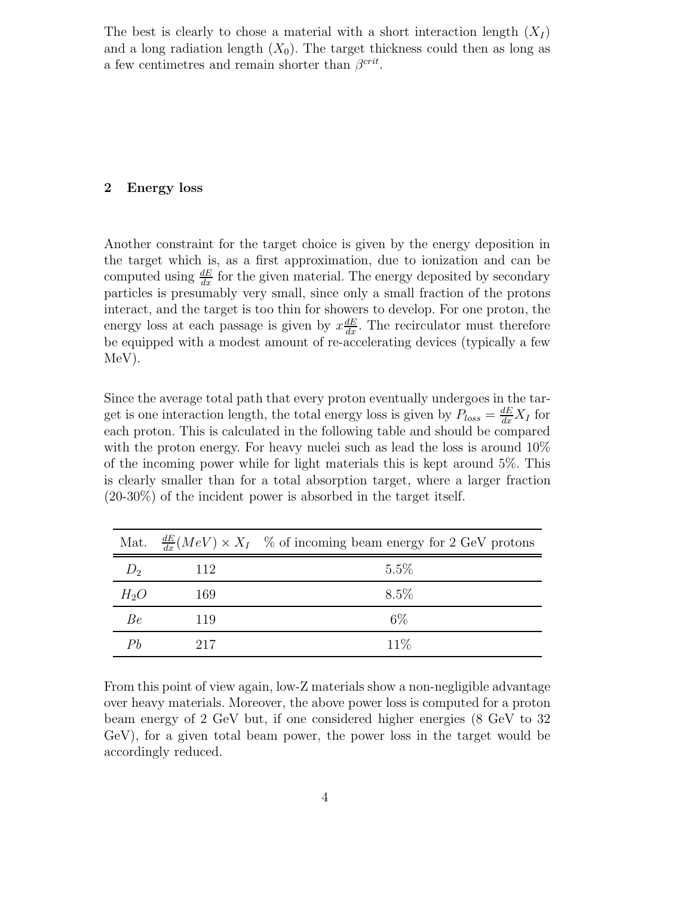The best is clearly to chose a material with a short interaction length  $(X_I)$ and a long radiation length  $(X_0)$ . The target thickness could then as long as a few centimetres and remain shorter than  $\beta^{crit}$ .

## **2 Energy loss**

Another constraint for the target choice is given by the energy deposition in the target which is, as a first approximation, due to ionization and can be computed using  $\frac{dE}{dx}$  for the given material. The energy deposited by secondary particles is presumably very small, since only a small fraction of the protons interact, and the target is too thin for showers to develop. For one proton, the energy loss at each passage is given by  $x \frac{dE}{dx}$ . The recirculator must therefore be equipped with a modest amount of re-accelerating devices (typically a few MeV).

Since the average total path that every proton eventually undergoes in the target is one interaction length, the total energy loss is given by  $P_{loss} = \frac{dE}{dx} X_I$  for each proton. This is calculated in the following table and should be compared with the proton energy. For heavy nuclei such as lead the loss is around  $10\%$ of the incoming power while for light materials this is kept around 5%. This is clearly smaller than for a total absorption target, where a larger fraction (20-30%) of the incident power is absorbed in the target itself.

|        |     | Mat. $\frac{dE}{dr}(MeV) \times X_I$ % of incoming beam energy for 2 GeV protons |
|--------|-----|----------------------------------------------------------------------------------|
| $D_2$  | 112 | $5.5\%$                                                                          |
| $H_2O$ | 169 | 8.5\%                                                                            |
| Вe     | 119 | $6\%$                                                                            |
| Рh     | 217 | 11\%                                                                             |

From this point of view again, low-Z materials show a non-negligible advantage over heavy materials. Moreover, the above power loss is computed for a proton beam energy of 2 GeV but, if one considered higher energies (8 GeV to 32 GeV), for a given total beam power, the power loss in the target would be accordingly reduced.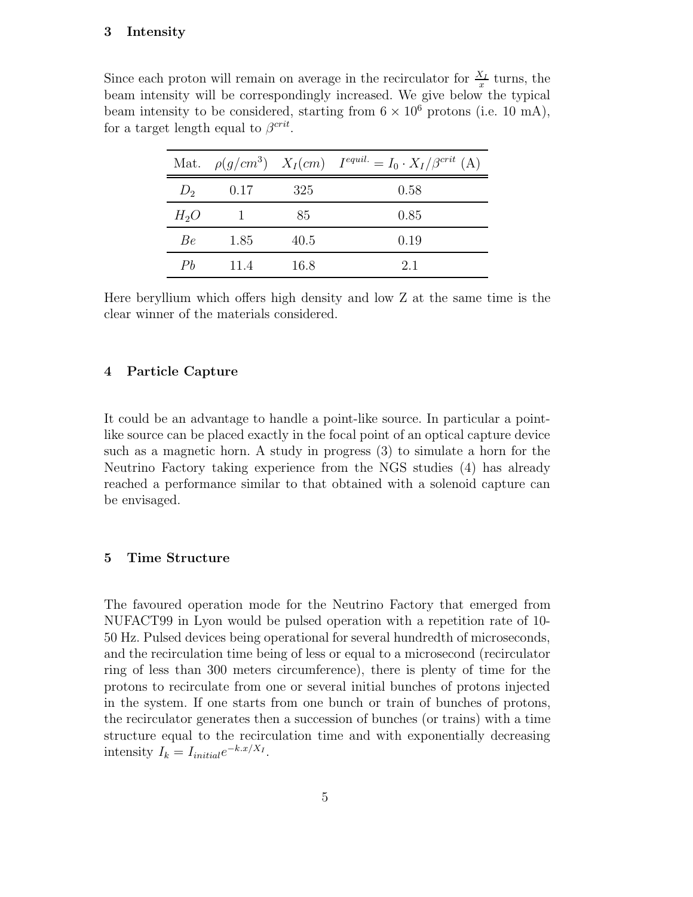## **3 Intensity**

Since each proton will remain on average in the recirculator for  $\frac{X_I}{x}$  turns, the beam intensity will be correspondingly increased. We give below the typical beam intensity to be considered, starting from  $6 \times 10^6$  protons (i.e. 10 mA), for a target length equal to  $\beta^{crit}$ .

|        |      |      | Mat. $\rho(g/cm^3)$ $X_I(cm)$ $I^{equil.} = I_0 \cdot X_I/\beta^{crit}$ (A) |
|--------|------|------|-----------------------------------------------------------------------------|
| $D_2$  | 0.17 | 325  | 0.58                                                                        |
| $H_2O$ |      | 85   | 0.85                                                                        |
| Be.    | 1.85 | 40.5 | 0.19                                                                        |
| Ph     | 11.4 | 16.8 | 2.1                                                                         |

Here beryllium which offers high density and low Z at the same time is the clear winner of the materials considered.

#### **4 Particle Capture**

It could be an advantage to handle a point-like source. In particular a pointlike source can be placed exactly in the focal point of an optical capture device such as a magnetic horn. A study in progress (3) to simulate a horn for the Neutrino Factory taking experience from the NGS studies (4) has already reached a performance similar to that obtained with a solenoid capture can be envisaged.

#### **5 Time Structure**

The favoured operation mode for the Neutrino Factory that emerged from NUFACT99 in Lyon would be pulsed operation with a repetition rate of 10- 50 Hz. Pulsed devices being operational for several hundredth of microseconds, and the recirculation time being of less or equal to a microsecond (recirculator ring of less than 300 meters circumference), there is plenty of time for the protons to recirculate from one or several initial bunches of protons injected in the system. If one starts from one bunch or train of bunches of protons, the recirculator generates then a succession of bunches (or trains) with a time structure equal to the recirculation time and with exponentially decreasing intensity  $I_k = I_{initial}e^{-k.x/X_I}$ .